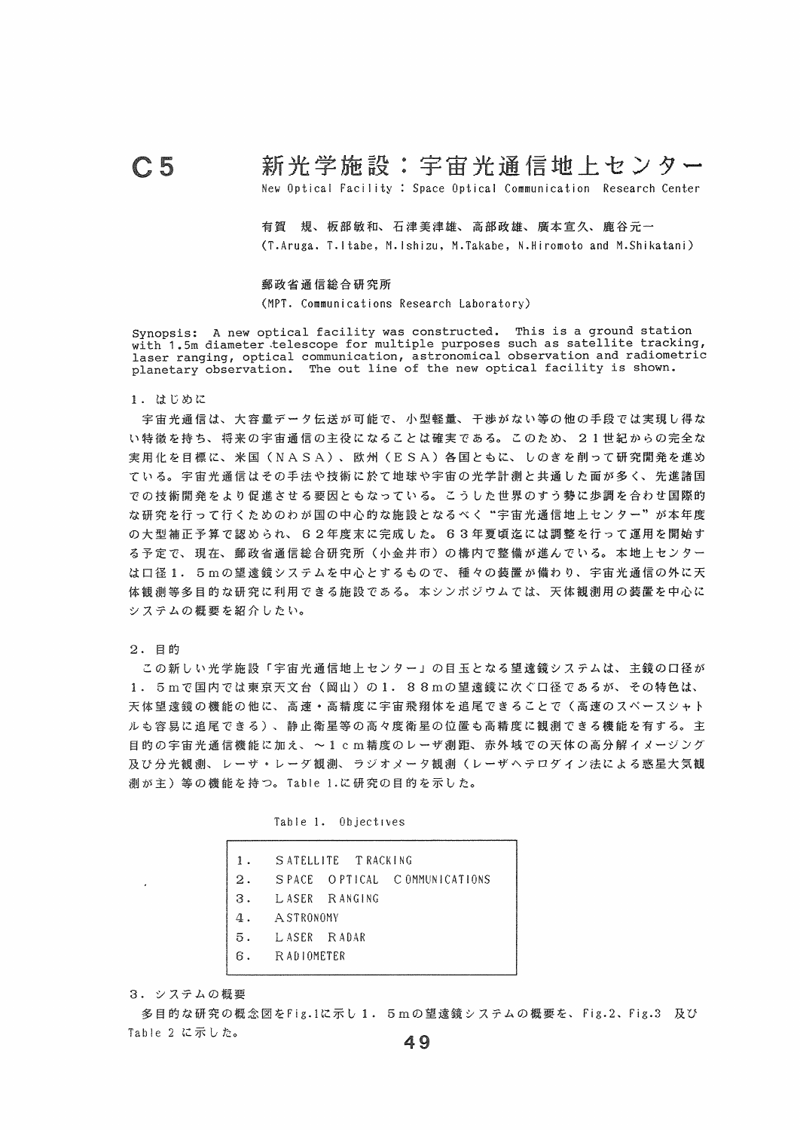## C5 新光学施設:宇宙光通信地上センター

New Optical Facility : Space Optical Communication Research Center

有賀 規、板蔀敏和、石津美津雄、高部政雄、鷹番宣久、鹿谷元一 (T.Aruga. T.Itabe, M.Ishizu, M.Takabe, N.Hiromoto and M.Shikatani)

## 郵政省通信総合研究所

(MPT. Communications Research Laboratory)

synopsis: A new optical facility was constructed. This is a ground station with 1.5m diameter telescope for multiple purposes such as satellite tracking, laser ranging, optical communication, astronomical observation and radiometric planetary observation. The out line of the new optical facility is shown.

1.はじめに

宇宙光通信は、大審塵データ伝送が可能で、小型軽塵、干渉がない等の他の手段では実現し得な い特徴を持ち、将来の宇宙通信の主役になることは確実である。このため、 2且世紀からの完全な 実層化を目標に、米国(NASA)、欧州(E SA)各国ともに、しのぎを削って研究開発を進め ている。宇宙光通信はその手法や技術に於て地球や宇宙の光学計測と共通した面が多く、先進諸国 での技術開発をより促進させる要因ともなっている。こうした世界のすう勢に歩調を合わせ国際的 な研究を行って行くためのわが国の中心的な施設となるべく"宇宙光通信地上センター"が本年度 の大型補正予算で認められ、 62年度末に完成した。 63年夏頃迄には調整を行って運用を開始す る予定で、現在、郵政省通信絵合研究所(小金井市)の構内で整備が進んでいる。本地上センター は口径1. 5mの望遠鏡システムを中心とするもので、種々の装置が備わり、宇宙光通信の外に天 体観測等多目的な研究に利周できる施設である。本シンポジウムでは、天体観測用の装置を中心に システムの概要を紹介したい。

2.目的

この新しい光学施設「宇宙光通信地上センター」の目玉となる望遠鏡システムは、主鏡の口径が 1. 5mで国内では東京天文台(岡山)の1. 88mの望遠鏡に次ぐ口径であるが、その特色は、 天体望遠鏡の機能の健に、高速。高精度に宇宙飛細体を追尾できることで(高速のスペースシャト ルも容易に追尾できる)、静止衛星等の高々度衛星の位置も高精度に観測できる機能を有する。主 目的の宇宙光通信機能に加え、~1cm精度のレーザ測距、赤外域での天体の高分解イメージング 及び分光観測、レーザ·レーダ観測、ラジオメータ観測(レーザヘテロダイン法による惑星大気観 測が主)等の機能を持つ。 Table 1.に研究の目的を示した。

|  | Table 1. |  | Objectives |  |
|--|----------|--|------------|--|
|--|----------|--|------------|--|

|                | 1. SATELLITE TRACKING |                                 |
|----------------|-----------------------|---------------------------------|
|                |                       | 2. SPACE OPTICAL COMMUNICATIONS |
|                | 3. LASER RANGING      |                                 |
| 4. A STRONOMY  |                       |                                 |
| 5. LASER RADAR |                       |                                 |
| 6. RADIOMETER  |                       |                                 |
|                |                       |                                 |

3.システムの概要

多目的な研究の概念図をFig.1に示し1. 5mの望遠鏡システムの概要を、 Fig.2、 Fig.3 及び Table 2 に示した。